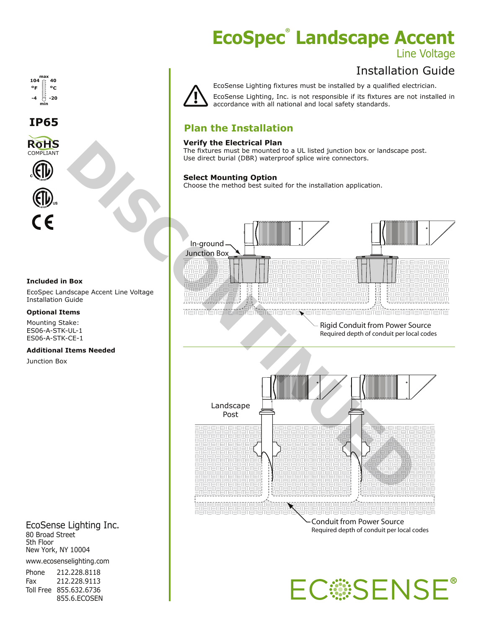# **EcoSpec<sup>®</sup> Landscape Accent**

### Line Voltage

### Installation Guide



EcoSense Lighting fixtures must be installed by a qualified electrician. EcoSense Lighting, Inc. is not responsible if its fixtures are not installed in accordance with all national and local safety standards.

#### **Plan the Installation**

#### **Verify the Electrical Plan**

The fixtures must be mounted to a UL listed junction box or landscape post. Use direct burial (DBR) waterproof splice wire connectors.

#### **Select Mounting Option**

Choose the method best suited for the installation application.



Conduit from Power Source Required depth of conduit per local codes



#### **Included in Box**

**RoHS** COMPLIANT

**IP65**

**min**

**max**

**40**

**-20 ºF ºC**

**104**

**-4**

EcoSpec Landscape Accent Line Voltage Installation Guide

#### **Optional Items**

Mounting Stake: ES06-A-STK-UL-1 ES06-A-STK-CE-1

#### **Additional Items Needed**

Junction Box

EcoSense Lighting Inc. 80 Broad Street 5th Floor New York, NY 10004 www.ecosenselighting.com

Phone 212.228.8118 Fax 212.228.9113 Toll Free 855.632.6736 855.6.ECOSEN